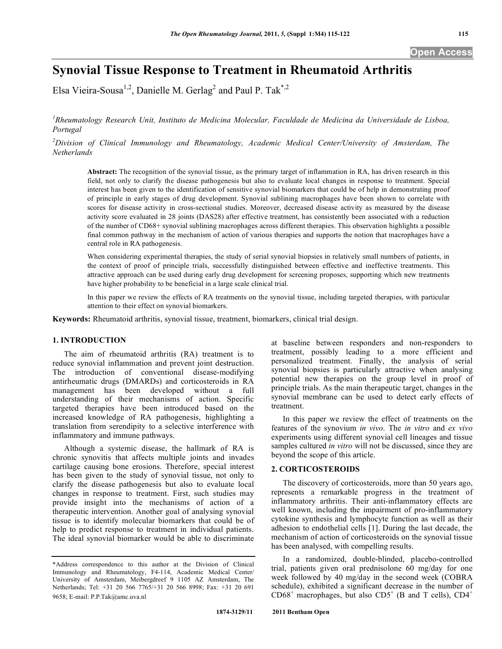# **Synovial Tissue Response to Treatment in Rheumatoid Arthritis**

Elsa Vieira-Sousa<sup>1,2</sup>, Danielle M. Gerlag<sup>2</sup> and Paul P. Tak<sup>\*,2</sup>

<sup>1</sup> Rheumatology Research Unit, Instituto de Medicina Molecular, Faculdade de Medicina da Universidade de Lisboa, *Portugal* 

*2 Division of Clinical Immunology and Rheumatology, Academic Medical Center/University of Amsterdam, The Netherlands*

**Abstract:** The recognition of the synovial tissue, as the primary target of inflammation in RA, has driven research in this field, not only to clarify the disease pathogenesis but also to evaluate local changes in response to treatment. Special interest has been given to the identification of sensitive synovial biomarkers that could be of help in demonstrating proof of principle in early stages of drug development. Synovial sublining macrophages have been shown to correlate with scores for disease activity in cross-sectional studies. Moreover, decreased disease activity as measured by the disease activity score evaluated in 28 joints (DAS28) after effective treatment, has consistently been associated with a reduction of the number of CD68+ synovial sublining macrophages across different therapies. This observation highlights a possible final common pathway in the mechanism of action of various therapies and supports the notion that macrophages have a central role in RA pathogenesis.

When considering experimental therapies, the study of serial synovial biopsies in relatively small numbers of patients, in the context of proof of principle trials, successfully distinguished between effective and ineffective treatments. This attractive approach can be used during early drug development for screening proposes, supporting which new treatments have higher probability to be beneficial in a large scale clinical trial.

In this paper we review the effects of RA treatments on the synovial tissue, including targeted therapies, with particular attention to their effect on synovial biomarkers.

**Keywords:** Rheumatoid arthritis, synovial tissue, treatment, biomarkers, clinical trial design.

# **1. INTRODUCTION**

 The aim of rheumatoid arthritis (RA) treatment is to reduce synovial inflammation and prevent joint destruction. The introduction of conventional disease-modifying antirheumatic drugs (DMARDs) and corticosteroids in RA management has been developed without a full understanding of their mechanisms of action. Specific targeted therapies have been introduced based on the increased knowledge of RA pathogenesis, highlighting a translation from serendipity to a selective interference with inflammatory and immune pathways.

 Although a systemic disease, the hallmark of RA is chronic synovitis that affects multiple joints and invades cartilage causing bone erosions. Therefore, special interest has been given to the study of synovial tissue, not only to clarify the disease pathogenesis but also to evaluate local changes in response to treatment. First, such studies may provide insight into the mechanisms of action of a therapeutic intervention. Another goal of analysing synovial tissue is to identify molecular biomarkers that could be of help to predict response to treatment in individual patients. The ideal synovial biomarker would be able to discriminate

at baseline between responders and non-responders to treatment, possibly leading to a more efficient and personalized treatment. Finally, the analysis of serial synovial biopsies is particularly attractive when analysing potential new therapies on the group level in proof of principle trials. As the main therapeutic target, changes in the synovial membrane can be used to detect early effects of treatment.

 In this paper we review the effect of treatments on the features of the synovium *in vivo*. The *in vitro* and *ex vivo* experiments using different synovial cell lineages and tissue samples cultured *in vitro* will not be discussed, since they are beyond the scope of this article.

#### **2. CORTICOSTEROIDS**

 The discovery of corticosteroids, more than 50 years ago, represents a remarkable progress in the treatment of inflammatory arthritis. Their anti-inflammatory effects are well known, including the impairment of pro-inflammatory cytokine synthesis and lymphocyte function as well as their adhesion to endothelial cells [1]. During the last decade, the mechanism of action of corticosteroids on the synovial tissue has been analysed, with compelling results.

 In a randomized, double-blinded, placebo-controlled trial, patients given oral prednisolone 60 mg/day for one week followed by 40 mg/day in the second week (COBRA schedule), exhibited a significant decrease in the number of  $CD68<sup>+</sup>$  macrophages, but also  $CD5<sup>+</sup>$  (B and T cells),  $CD4<sup>+</sup>$ 

<sup>\*</sup>Address correspondence to this author at the Division of Clinical Immunology and Rheumatology, F4-114, Academic Medical Center/ University of Amsterdam, Meibergdreef 9 1105 AZ Amsterdam, The Netherlands; Tel: +31 20 566 7765/+31 20 566 8998; Fax: +31 20 691 9658; E-mail: P.P.Tak@amc.uva.nl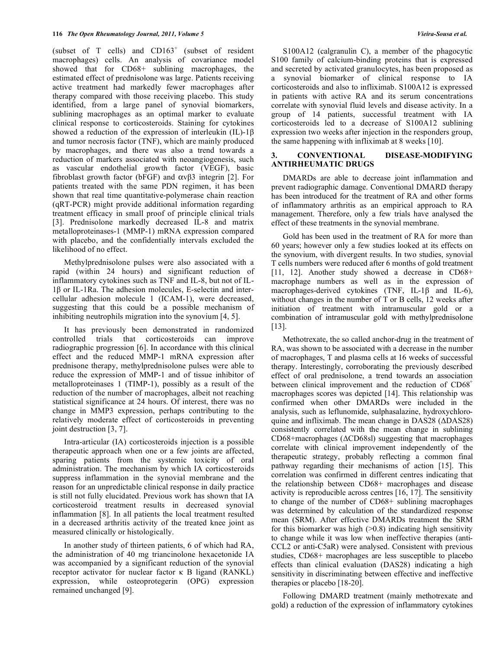(subset of T cells) and  $CD163<sup>+</sup>$  (subset of resident macrophages) cells. An analysis of covariance model showed that for CD68+ sublining macrophages, the estimated effect of prednisolone was large. Patients receiving active treatment had markedly fewer macrophages after therapy compared with those receiving placebo. This study identified, from a large panel of synovial biomarkers, sublining macrophages as an optimal marker to evaluate clinical response to corticosteroids. Staining for cytokines showed a reduction of the expression of interleukin (IL)-1 $\beta$ and tumor necrosis factor (TNF), which are mainly produced by macrophages, and there was also a trend towards a reduction of markers associated with neoangiogenesis, such as vascular endothelial growth factor (VEGF), basic fibroblast growth factor (bFGF) and  $\alpha \nu \beta$ 3 integrin [2]. For patients treated with the same PDN regimen, it has been shown that real time quantitative-polymerase chain reaction (qRT-PCR) might provide additional information regarding treatment efficacy in small proof of principle clinical trials [3]. Prednisolone markedly decreased IL-8 and matrix metalloproteinases-1 (MMP-1) mRNA expression compared with placebo, and the confidentially intervals excluded the likelihood of no effect.

 Methylprednisolone pulses were also associated with a rapid (within 24 hours) and significant reduction of inflammatory cytokines such as TNF and IL-8, but not of IL- $1\beta$  or IL-1Ra. The adhesion molecules, E-selectin and intercellular adhesion molecule 1 (ICAM-1), were decreased, suggesting that this could be a possible mechanism of inhibiting neutrophils migration into the synovium [4, 5].

 It has previously been demonstrated in randomized controlled trials that corticosteroids can improve radiographic progression [6]. In accordance with this clinical effect and the reduced MMP-1 mRNA expression after prednisone therapy, methylprednisolone pulses were able to reduce the expression of MMP-1 and of tissue inhibitor of metalloproteinases 1 (TIMP-1), possibly as a result of the reduction of the number of macrophages, albeit not reaching statistical significance at 24 hours. Of interest, there was no change in MMP3 expression, perhaps contributing to the relatively moderate effect of corticosteroids in preventing joint destruction [3, 7].

 Intra-articular (IA) corticosteroids injection is a possible therapeutic approach when one or a few joints are affected, sparing patients from the systemic toxicity of oral administration. The mechanism by which IA corticosteroids suppress inflammation in the synovial membrane and the reason for an unpredictable clinical response in daily practice is still not fully elucidated. Previous work has shown that IA corticosteroid treatment results in decreased synovial inflammation [8]. In all patients the local treatment resulted in a decreased arthritis activity of the treated knee joint as measured clinically or histologically.

 In another study of thirteen patients, 6 of which had RA, the administration of 40 mg triancinolone hexacetonide IA was accompanied by a significant reduction of the synovial receptor activator for nuclear factor  $\kappa$  B ligand (RANKL) expression, while osteoprotegerin (OPG) expression remained unchanged [9].

 S100A12 (calgranulin C), a member of the phagocytic S100 family of calcium-binding proteins that is expressed and secreted by activated granulocytes, has been proposed as a synovial biomarker of clinical response to IA corticosteroids and also to infliximab. S100A12 is expressed in patients with active RA and its serum concentrations correlate with synovial fluid levels and disease activity. In a group of 14 patients, successful treatment with IA corticosteroids led to a decrease of S100A12 sublining expression two weeks after injection in the responders group, the same happening with infliximab at 8 weeks [10].

# **3. CONVENTIONAL DISEASE-MODIFYING ANTIRHEUMATIC DRUGS**

 DMARDs are able to decrease joint inflammation and prevent radiographic damage. Conventional DMARD therapy has been introduced for the treatment of RA and other forms of inflammatory arthritis as an empirical approach to RA management. Therefore, only a few trials have analysed the effect of these treatments in the synovial membrane.

 Gold has been used in the treatment of RA for more than 60 years; however only a few studies looked at its effects on the synovium, with divergent results. In two studies, synovial T cells numbers were reduced after 6 months of gold treatment [11, 12]. Another study showed a decrease in CD68+ macrophage numbers as well as in the expression of macrophages-derived cytokines (TNF,  $IL-1\beta$  and  $IL-6$ ), without changes in the number of T or B cells, 12 weeks after initiation of treatment with intramuscular gold or a combination of intramuscular gold with methylprednisolone [13].

 Methotrexate, the so called anchor-drug in the treatment of RA, was shown to be associated with a decrease in the number of macrophages, T and plasma cells at 16 weeks of successful therapy. Interestingly, corroborating the previously described effect of oral prednisolone, a trend towards an association between clinical improvement and the reduction of CD68<sup>+</sup> macrophages scores was depicted [14]. This relationship was confirmed when other DMARDs were included in the analysis, such as leflunomide, sulphasalazine, hydroxychloroquine and infliximab. The mean change in DAS28 ( $\triangle$ DAS28) consistently correlated with the mean change in sublining  $CD68+$ macrophages ( $\triangle$ CD68sl) suggesting that macrophages correlate with clinical improvement independently of the therapeutic strategy, probably reflecting a common final pathway regarding their mechanisms of action [15]. This correlation was confirmed in different centres indicating that the relationship between CD68+ macrophages and disease activity is reproducible across centres [16, 17]. The sensitivity to change of the number of CD68+ sublining macrophages was determined by calculation of the standardized response mean (SRM). After effective DMARDs treatment the SRM for this biomarker was high  $(>0.8)$  indicating high sensitivity to change while it was low when ineffective therapies (anti-CCL2 or anti-C5aR) were analysed. Consistent with previous studies, CD68+ macrophages are less susceptible to placebo effects than clinical evaluation (DAS28) indicating a high sensitivity in discriminating between effective and ineffective therapies or placebo [18-20].

 Following DMARD treatment (mainly methotrexate and gold) a reduction of the expression of inflammatory cytokines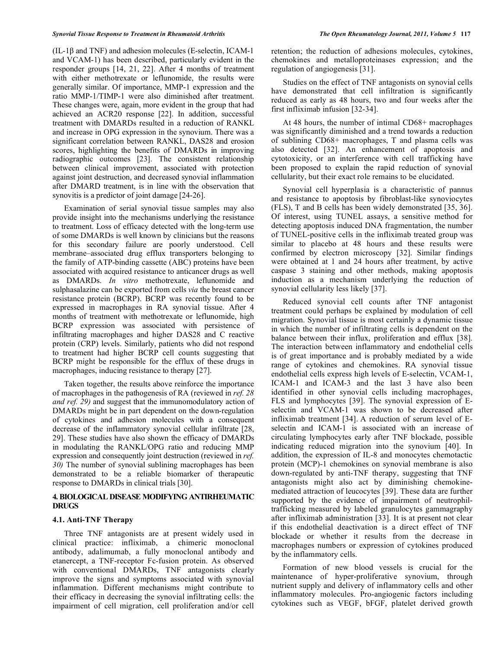$(IL-1\beta$  and TNF) and adhesion molecules (E-selectin, ICAM-1) and VCAM-1) has been described, particularly evident in the responder groups [14, 21, 22]. After 4 months of treatment with either methotrexate or leflunomide, the results were generally similar. Of importance, MMP-1 expression and the ratio MMP-1/TIMP-1 were also diminished after treatment. These changes were, again, more evident in the group that had achieved an ACR20 response [22]. In addition, successful treatment with DMARDs resulted in a reduction of RANKL and increase in OPG expression in the synovium. There was a significant correlation between RANKL, DAS28 and erosion scores, highlighting the benefits of DMARDs in improving radiographic outcomes [23]. The consistent relationship between clinical improvement, associated with protection against joint destruction, and decreased synovial inflammation after DMARD treatment, is in line with the observation that synovitis is a predictor of joint damage [24-26].

 Examination of serial synovial tissue samples may also provide insight into the mechanisms underlying the resistance to treatment. Loss of efficacy detected with the long-term use of some DMARDs is well known by clinicians but the reasons for this secondary failure are poorly understood. Cell membrane–associated drug efflux transporters belonging to the family of ATP-binding cassette (ABC) proteins have been associated with acquired resistance to anticancer drugs as well as DMARDs. *In vitro* methotrexate, leflunomide and sulphasalazine can be exported from cells *via* the breast cancer resistance protein (BCRP). BCRP was recently found to be expressed in macrophages in RA synovial tissue. After 4 months of treatment with methotrexate or leflunomide, high BCRP expression was associated with persistence of infiltrating macrophages and higher DAS28 and C reactive protein (CRP) levels. Similarly, patients who did not respond to treatment had higher BCRP cell counts suggesting that BCRP might be responsible for the efflux of these drugs in macrophages, inducing resistance to therapy [27].

 Taken together, the results above reinforce the importance of macrophages in the pathogenesis of RA (reviewed in *ref. 28 and ref. 29)* and suggest that the immunomodulatory action of DMARDs might be in part dependent on the down-regulation of cytokines and adhesion molecules with a consequent decrease of the inflammatory synovial cellular infiltrate [28, 29]. These studies have also shown the efficacy of DMARDs in modulating the RANKL/OPG ratio and reducing MMP expression and consequently joint destruction (reviewed in *ref. 30)* The number of synovial sublining macrophages has been demonstrated to be a reliable biomarker of therapeutic response to DMARDs in clinical trials [30].

# **4. BIOLOGICAL DISEASE MODIFYING ANTIRHEUMATIC DRUGS**

#### **4.1. Anti-TNF Therapy**

 Three TNF antagonists are at present widely used in clinical practice: infliximab, a chimeric monoclonal antibody, adalimumab, a fully monoclonal antibody and etanercept, a TNF-receptor Fc-fusion protein. As observed with conventional DMARDs, TNF antagonists clearly improve the signs and symptoms associated with synovial inflammation. Different mechanisms might contribute to their efficacy in decreasing the synovial infiltrating cells: the impairment of cell migration, cell proliferation and/or cell

retention; the reduction of adhesions molecules, cytokines, chemokines and metalloproteinases expression; and the regulation of angiogenesis [31].

 Studies on the effect of TNF antagonists on synovial cells have demonstrated that cell infiltration is significantly reduced as early as 48 hours, two and four weeks after the first infliximab infusion [32-34].

 At 48 hours, the number of intimal CD68+ macrophages was significantly diminished and a trend towards a reduction of sublining CD68+ macrophages, T and plasma cells was also detected [32]. An enhancement of apoptosis and cytotoxicity, or an interference with cell trafficking have been proposed to explain the rapid reduction of synovial cellularity, but their exact role remains to be elucidated.

 Synovial cell hyperplasia is a characteristic of pannus and resistance to apoptosis by fibroblast-like synoviocytes (FLS), T and B cells has been widely demonstrated [35, 36]. Of interest, using TUNEL assays, a sensitive method for detecting apoptosis induced DNA fragmentation, the number of TUNEL-positive cells in the infliximab treated group was similar to placebo at 48 hours and these results were confirmed by electron microscopy [32]. Similar findings were obtained at 1 and 24 hours after treatment, by active caspase 3 staining and other methods, making apoptosis induction as a mechanism underlying the reduction of synovial cellularity less likely [37].

 Reduced synovial cell counts after TNF antagonist treatment could perhaps be explained by modulation of cell migration. Synovial tissue is most certainly a dynamic tissue in which the number of infiltrating cells is dependent on the balance between their influx, proliferation and efflux [38]. The interaction between inflammatory and endothelial cells is of great importance and is probably mediated by a wide range of cytokines and chemokines. RA synovial tissue endothelial cells express high levels of E-selectin, VCAM-1, ICAM-1 and ICAM-3 and the last 3 have also been identified in other synovial cells including macrophages, FLS and lymphocytes [39]. The synovial expression of Eselectin and VCAM-1 was shown to be decreased after infliximab treatment [34]. A reduction of serum level of Eselectin and ICAM-1 is associated with an increase of circulating lymphocytes early after TNF blockade, possible indicating reduced migration into the synovium [40]. In addition, the expression of IL-8 and monocytes chemotactic protein (MCP)-1 chemokines on synovial membrane is also down-regulated by anti-TNF therapy, suggesting that TNF antagonists might also act by diminishing chemokinemediated attraction of leucocytes [39]. These data are further supported by the evidence of impairment of neutrophiltrafficking measured by labeled granulocytes gammagraphy after infliximab administration [33]. It is at present not clear if this endothelial deactivation is a direct effect of TNF blockade or whether it results from the decrease in macrophages numbers or expression of cytokines produced by the inflammatory cells.

 Formation of new blood vessels is crucial for the maintenance of hyper-proliferative synovium, through nutrient supply and delivery of inflammatory cells and other inflammatory molecules. Pro-angiogenic factors including cytokines such as VEGF, bFGF, platelet derived growth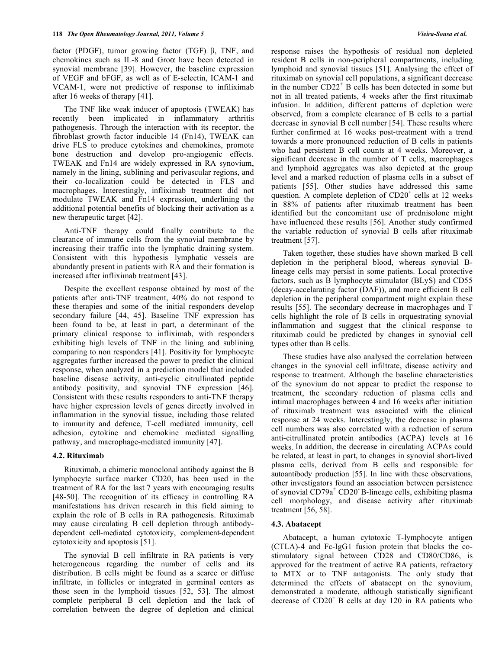factor (PDGF), tumor growing factor (TGF)  $\beta$ , TNF, and chemokines such as IL-8 and Gro $\alpha$  have been detected in synovial membrane [39]. However, the baseline expression of VEGF and bFGF, as well as of E-selectin, ICAM-1 and VCAM-1, were not predictive of response to infiliximab after 16 weeks of therapy [41].

 The TNF like weak inducer of apoptosis (TWEAK) has recently been implicated in inflammatory arthritis pathogenesis. Through the interaction with its receptor, the fibroblast growth factor inducible 14 (Fn14), TWEAK can drive FLS to produce cytokines and chemokines, promote bone destruction and develop pro-angiogenic effects. TWEAK and Fn14 are widely expressed in RA synovium, namely in the lining, sublining and perivascular regions, and their co-localization could be detected in FLS and macrophages. Interestingly, infliximab treatment did not modulate TWEAK and Fn14 expression, underlining the additional potential benefits of blocking their activation as a new therapeutic target [42].

 Anti-TNF therapy could finally contribute to the clearance of immune cells from the synovial membrane by increasing their traffic into the lymphatic draining system. Consistent with this hypothesis lymphatic vessels are abundantly present in patients with RA and their formation is increased after infliximab treatment [43].

 Despite the excellent response obtained by most of the patients after anti-TNF treatment, 40% do not respond to these therapies and some of the initial responders develop secondary failure [44, 45]. Baseline TNF expression has been found to be, at least in part, a determinant of the primary clinical response to infliximab, with responders exhibiting high levels of TNF in the lining and sublining comparing to non responders [41]. Positivity for lymphocyte aggregates further increased the power to predict the clinical response, when analyzed in a prediction model that included baseline disease activity, anti-cyclic citrullinated peptide antibody positivity, and synovial TNF expression [46]. Consistent with these results responders to anti-TNF therapy have higher expression levels of genes directly involved in inflammation in the synovial tissue, including those related to immunity and defence, T-cell mediated immunity, cell adhesion, cytokine and chemokine mediated signalling pathway, and macrophage-mediated immunity [47].

#### **4.2. Rituximab**

 Rituximab, a chimeric monoclonal antibody against the B lymphocyte surface marker CD20, has been used in the treatment of RA for the last 7 years with encouraging results [48-50]. The recognition of its efficacy in controlling RA manifestations has driven research in this field aiming to explain the role of B cells in RA pathogenesis. Rituximab may cause circulating B cell depletion through antibodydependent cell-mediated cytotoxicity, complement-dependent cytotoxicity and apoptosis [51].

 The synovial B cell infiltrate in RA patients is very heterogeneous regarding the number of cells and its distribution. B cells might be found as a scarce or diffuse infiltrate, in follicles or integrated in germinal centers as those seen in the lymphoid tissues [52, 53]. The almost complete peripheral B cell depletion and the lack of correlation between the degree of depletion and clinical

response raises the hypothesis of residual non depleted resident B cells in non-peripheral compartments, including lymphoid and synovial tissues [51]. Analysing the effect of rituximab on synovial cell populations, a significant decrease in the number CD22<sup>+</sup> B cells has been detected in some but not in all treated patients, 4 weeks after the first rituximab infusion. In addition, different patterns of depletion were observed, from a complete clearance of B cells to a partial decrease in synovial B cell number [54]. These results where further confirmed at 16 weeks post-treatment with a trend towards a more pronounced reduction of B cells in patients who had persistent B cell counts at 4 weeks. Moreover, a significant decrease in the number of T cells, macrophages and lymphoid aggregates was also depicted at the group level and a marked reduction of plasma cells in a subset of patients [55]. Other studies have addressed this same question. A complete depletion of  $CD20<sup>+</sup>$  cells at 12 weeks in 88% of patients after rituximab treatment has been identified but the concomitant use of prednisolone might have influenced these results [56]. Another study confirmed the variable reduction of synovial B cells after rituximab treatment [57].

 Taken together, these studies have shown marked B cell depletion in the peripheral blood, whereas synovial Blineage cells may persist in some patients. Local protective factors, such as B lymphocyte stimulator (BLyS) and CD55 (decay-accelarating factor (DAF)), and more efficient B cell depletion in the peripheral compartment might explain these results [55]. The secondary decrease in macrophages and T cells highlight the role of B cells in orquestrating synovial inflammation and suggest that the clinical response to rituximab could be predicted by changes in synovial cell types other than B cells.

 These studies have also analysed the correlation between changes in the synovial cell infiltrate, disease activity and response to treatment. Although the baseline characteristics of the synovium do not appear to predict the response to treatment, the secondary reduction of plasma cells and intimal macrophages between 4 and 16 weeks after initiation of rituximab treatment was associated with the clinical response at 24 weeks. Interestingly, the decrease in plasma cell numbers was also correlated with a reduction of serum anti-citrullinated protein antibodies (ACPA) levels at 16 weeks. In addition, the decrease in circulating ACPAs could be related, at least in part, to changes in synovial short-lived plasma cells, derived from B cells and responsible for autoantibody production [55]. In line with these observations, other investigators found an association between persistence of synovial CD79a<sup>+</sup> CD20<sup>-</sup> B-lineage cells, exhibiting plasma cell morphology, and disease activity after rituximab treatment [56, 58].

# **4.3. Abatacept**

 Abatacept, a human cytotoxic T-lymphocyte antigen (CTLA)-4 and Fc-IgG1 fusion protein that blocks the costimulatory signal between CD28 and CD80/CD86, is approved for the treatment of active RA patients, refractory to MTX or to TNF antagonists. The only study that determined the effects of abatacept on the synovium, demonstrated a moderate, although statistically significant decrease of  $CD20<sup>+</sup>$  B cells at day 120 in RA patients who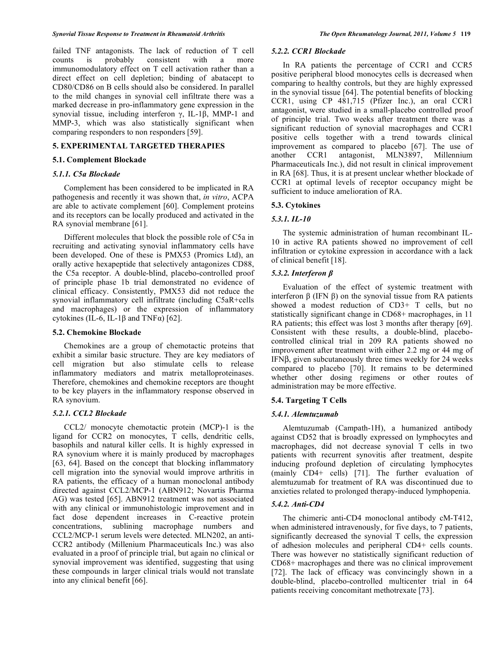failed TNF antagonists. The lack of reduction of T cell counts is probably consistent with a more immunomodulatory effect on T cell activation rather than a direct effect on cell depletion; binding of abatacept to CD80/CD86 on B cells should also be considered. In parallel to the mild changes in synovial cell infiltrate there was a marked decrease in pro-inflammatory gene expression in the synovial tissue, including interferon  $\gamma$ , IL-1 $\beta$ , MMP-1 and MMP-3, which was also statistically significant when comparing responders to non responders [59].

# **5. EXPERIMENTAL TARGETED THERAPIES**

#### **5.1. Complement Blockade**

# *5.1.1. C5a Blockade*

 Complement has been considered to be implicated in RA pathogenesis and recently it was shown that, *in vitro*, ACPA are able to activate complement [60]. Complement proteins and its receptors can be locally produced and activated in the RA synovial membrane [61].

 Different molecules that block the possible role of C5a in recruiting and activating synovial inflammatory cells have been developed. One of these is PMX53 (Promics Ltd), an orally active hexapeptide that selectively antagonizes CD88, the C5a receptor. A double-blind, placebo-controlled proof of principle phase 1b trial demonstrated no evidence of clinical efficacy. Consistently, PMX53 did not reduce the synovial inflammatory cell infiltrate (including C5aR+cells and macrophages) or the expression of inflammatory cytokines (IL-6, IL-1 $\beta$  and TNF $\alpha$ ) [62].

### **5.2. Chemokine Blockade**

 Chemokines are a group of chemotactic proteins that exhibit a similar basic structure. They are key mediators of cell migration but also stimulate cells to release inflammatory mediators and matrix metalloproteinases. Therefore, chemokines and chemokine receptors are thought to be key players in the inflammatory response observed in RA synovium.

### *5.2.1. CCL2 Blockade*

 CCL2/ monocyte chemotactic protein (MCP)-1 is the ligand for CCR2 on monocytes, T cells, dendritic cells, basophils and natural killer cells. It is highly expressed in RA synovium where it is mainly produced by macrophages [63, 64]. Based on the concept that blocking inflammatory cell migration into the synovial would improve arthritis in RA patients, the efficacy of a human monoclonal antibody directed against CCL2/MCP-1 (ABN912; Novartis Pharma AG) was tested [65]. ABN912 treatment was not associated with any clinical or immunohistologic improvement and in fact dose dependent increases in C-reactive protein concentrations, sublining macrophage numbers and CCL2/MCP-1 serum levels were detected. MLN202, an anti-CCR2 antibody (Millenium Pharmaceuticals Inc.) was also evaluated in a proof of principle trial, but again no clinical or synovial improvement was identified, suggesting that using these compounds in larger clinical trials would not translate into any clinical benefit [66].

#### *5.2.2. CCR1 Blockade*

 In RA patients the percentage of CCR1 and CCR5 positive peripheral blood monocytes cells is decreased when comparing to healthy controls, but they are highly expressed in the synovial tissue [64]. The potential benefits of blocking CCR1, using CP 481,715 (Pfizer Inc.), an oral CCR1 antagonist, were studied in a small-placebo controlled proof of principle trial. Two weeks after treatment there was a significant reduction of synovial macrophages and CCR1 positive cells together with a trend towards clinical improvement as compared to placebo [67]. The use of another CCR1 antagonist, MLN3897, Millennium Pharmaceuticals Inc.), did not result in clinical improvement in RA [68]. Thus, it is at present unclear whether blockade of CCR1 at optimal levels of receptor occupancy might be sufficient to induce amelioration of RA.

#### **5.3. Cytokines**

#### *5.3.1. IL-10*

 The systemic administration of human recombinant IL-10 in active RA patients showed no improvement of cell infiltration or cytokine expression in accordance with a lack of clinical benefit [18].

# *5.3.2. Interferon*

 Evaluation of the effect of systemic treatment with interferon  $\beta$  (IFN  $\beta$ ) on the synovial tissue from RA patients showed a modest reduction of CD3+ T cells, but no statistically significant change in CD68+ macrophages, in 11 RA patients; this effect was lost 3 months after therapy [69]. Consistent with these results, a double-blind, placebocontrolled clinical trial in 209 RA patients showed no improvement after treatment with either 2.2 mg or 44 mg of  $IFNB$ , given subcutaneously three times weekly for 24 weeks compared to placebo [70]. It remains to be determined whether other dosing regimens or other routes of administration may be more effective.

# **5.4. Targeting T Cells**

#### *5.4.1. Alemtuzumab*

 Alemtuzumab (Campath-1H), a humanized antibody against CD52 that is broadly expressed on lymphocytes and macrophages, did not decrease synovial T cells in two patients with recurrent synovitis after treatment, despite inducing profound depletion of circulating lymphocytes (mainly CD4+ cells) [71]. The further evaluation of alemtuzumab for treatment of RA was discontinued due to anxieties related to prolonged therapy-induced lymphopenia.

# *5.4.2. Anti-CD4*

 The chimeric anti-CD4 monoclonal antibody cM-T412, when administered intravenously, for five days, to 7 patients, significantly decreased the synovial T cells, the expression of adhesion molecules and peripheral CD4+ cells counts. There was however no statistically significant reduction of CD68+ macrophages and there was no clinical improvement [72]. The lack of efficacy was convincingly shown in a double-blind, placebo-controlled multicenter trial in 64 patients receiving concomitant methotrexate [73].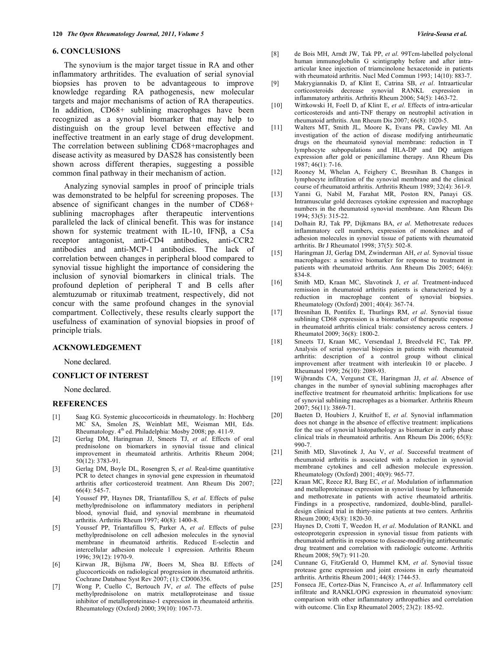#### **6. CONCLUSIONS**

 The synovium is the major target tissue in RA and other inflammatory arthritides. The evaluation of serial synovial biopsies has proven to be advantageous to improve knowledge regarding RA pathogenesis, new molecular targets and major mechanisms of action of RA therapeutics. In addition, CD68+ sublining macrophages have been recognized as a synovial biomarker that may help to distinguish on the group level between effective and ineffective treatment in an early stage of drug development. The correlation between sublining CD68+macrophages and disease activity as measured by DAS28 has consistently been shown across different therapies, suggesting a possible common final pathway in their mechanism of action.

 Analyzing synovial samples in proof of principle trials was demonstrated to be helpful for screening proposes. The absence of significant changes in the number of CD68+ sublining macrophages after therapeutic interventions paralleled the lack of clinical benefit. This was for instance shown for systemic treatment with IL-10, IFNB, a C5a receptor antagonist, anti-CD4 antibodies, anti-CCR2 antibodies and anti-MCP-1 antibodies. The lack of correlation between changes in peripheral blood compared to synovial tissue highlight the importance of considering the inclusion of synovial biomarkers in clinical trials. The profound depletion of peripheral T and B cells after alemtuzumab or rituximab treatment, respectively, did not concur with the same profound changes in the synovial compartment. Collectively, these results clearly support the usefulness of examination of synovial biopsies in proof of principle trials.

#### **ACKNOWLEDGEMENT**

None declared.

#### **CONFLICT OF INTEREST**

None declared.

#### **REFERENCES**

- [1] Saag KG. Systemic glucocorticoids in rheumatology. In: Hochberg MC SA, Smolen JS, Weinblatt ME, Weisman MH, Eds. Rheumatology. 4<sup>th</sup> ed. Philadelphia: Mosby 2008; pp. 411-9.
- [2] Gerlag DM, Haringman JJ, Smeets TJ, *et al*. Effects of oral prednisolone on biomarkers in synovial tissue and clinical improvement in rheumatoid arthritis. Arthritis Rheum 2004; 50(12): 3783-91.
- [3] Gerlag DM, Boyle DL, Rosengren S, *et al*. Real-time quantitative PCR to detect changes in synovial gene expression in rheumatoid arthritis after corticosteroid treatment. Ann Rheum Dis 2007; 66(4): 545-7.
- [4] Youssef PP, Haynes DR, Triantafillou S, *et al*. Effects of pulse methylprednisolone on inflammatory mediators in peripheral blood, synovial fluid, and synovial membrane in rheumatoid arthritis. Arthritis Rheum 1997; 40(8): 1400-8.
- [5] Youssef PP, Triantafillou S, Parker A, *et al*. Effects of pulse methylprednisolone on cell adhesion molecules in the synovial membrane in rheumatoid arthritis. Reduced E-selectin and intercellular adhesion molecule 1 expression. Arthritis Rheum 1996; 39(12): 1970-9.
- [6] Kirwan JR, Bijlsma JW, Boers M, Shea BJ. Effects of glucocorticoids on radiological progression in rheumatoid arthritis. Cochrane Database Syst Rev 2007; (1): CD006356.
- [7] Wong P, Cuello C, Bertouch JV, *et al*. The effects of pulse methylprednisolone on matrix metalloproteinase and tissue inhibitor of metalloproteinase-1 expression in rheumatoid arthritis. Rheumatology (Oxford) 2000; 39(10): 1067-73.
- [8] de Bois MH, Arndt JW, Tak PP, *et al*. 99Tcm-labelled polyclonal human immunoglobulin G scintigraphy before and after intraarticular knee injection of triamcinolone hexacetonide in patients with rheumatoid arthritis. Nucl Med Commun 1993; 14(10): 883-7.
- [9] Makrygiannakis D, af Klint E, Catrina SB, *et al*. Intraarticular corticosteroids decrease synovial RANKL expression inflammatory arthritis. Arthritis Rheum 2006; 54(5): 1463-72.
- [10] Wittkowski H, Foell D, af Klint E, *et al*. Effects of intra-articular corticosteroids and anti-TNF therapy on neutrophil activation in rheumatoid arthritis. Ann Rheum Dis 2007; 66(8): 1020-5.
- [11] Walters MT, Smith JL, Moore K, Evans PR, Cawley MI. An investigation of the action of disease modifying antirheumatic drugs on the rheumatoid synovial membrane: reduction in T lymphocyte subpopulations and HLA-DP and DQ antigen expression after gold or penicillamine therapy. Ann Rheum Dis 1987; 46(1): 7-16.
- [12] Rooney M, Whelan A, Feighery C, Bresnihan B. Changes in lymphocyte infiltration of the synovial membrane and the clinical course of rheumatoid arthritis. Arthritis Rheum 1989; 32(4): 361-9.
- [13] Yanni G, Nabil M, Farahat MR, Poston RN, Panayi GS. Intramuscular gold decreases cytokine expression and macrophage numbers in the rheumatoid synovial membrane. Ann Rheum Dis 1994; 53(5): 315-22.
- [14] Dolhain RJ, Tak PP, Dijkmans BA, *et al*. Methotrexate reduces inflammatory cell numbers, expression of monokines and of adhesion molecules in synovial tissue of patients with rheumatoid arthritis. Br J Rheumatol 1998; 37(5): 502-8.
- [15] Haringman JJ, Gerlag DM, Zwinderman AH, *et al*. Synovial tissue macrophages: a sensitive biomarker for response to treatment in patients with rheumatoid arthritis. Ann Rheum Dis 2005; 64(6): 834-8.
- [16] Smith MD, Kraan MC, Slavotinek J, *et al*. Treatment-induced remission in rheumatoid arthritis patients is characterized by a reduction in macrophage content of synovial biopsies. Rheumatology (Oxford) 2001; 40(4): 367-74.
- [17] Bresnihan B, Pontifex E, Thurlings RM, *et al*. Synovial tissue sublining CD68 expression is a biomarker of therapeutic response in rheumatoid arthritis clinical trials: consistency across centers. J Rheumatol 2009; 36(8): 1800-2.
- [18] Smeets TJ, Kraan MC, Versendaal J, Breedveld FC, Tak PP. Analysis of serial synovial biopsies in patients with rheumatoid arthritis: description of a control group without clinical improvement after treatment with interleukin 10 or placebo. J Rheumatol 1999; 26(10): 2089-93.
- [19] Wijbrandts CA, Vergunst CE, Haringman JJ, *et al*. Absence of changes in the number of synovial sublining macrophages after ineffective treatment for rheumatoid arthritis: Implications for use of synovial sublining macrophages as a biomarker. Arthritis Rheum 2007; 56(11): 3869-71.
- [20] Baeten D, Houbiers J, Kruithof E, *et al*. Synovial inflammation does not change in the absence of effective treatment: implications for the use of synovial histopathology as biomarker in early phase clinical trials in rheumatoid arthritis. Ann Rheum Dis 2006; 65(8): 990-7.
- [21] Smith MD, Slavotinek J, Au V, *et al*. Successful treatment of rheumatoid arthritis is associated with a reduction in synovial membrane cytokines and cell adhesion molecule expression. Rheumatology (Oxford) 2001; 40(9): 965-77.
- [22] Kraan MC, Reece RJ, Barg EC, *et al*. Modulation of inflammation and metalloproteinase expression in synovial tissue by leflunomide and methotrexate in patients with active rheumatoid arthritis. Findings in a prospective, randomized, double-blind, paralleldesign clinical trial in thirty-nine patients at two centers. Arthritis Rheum 2000; 43(8): 1820-30.
- [23] Haynes D, Crotti T, Weedon H, *et al*. Modulation of RANKL and osteoprotegerin expression in synovial tissue from patients with rheumatoid arthritis in response to disease-modifying antirheumatic drug treatment and correlation with radiologic outcome. Arthritis Rheum 2008; 59(7): 911-20.
- [24] Cunnane G, FitzGerald O, Hummel KM, *et al*. Synovial tissue protease gene expression and joint erosions in early rheumatoid arthritis. Arthritis Rheum 2001; 44(8): 1744-53.
- [25] Fonseca JE, Cortez-Dias N, Francisco A, *et al*. Inflammatory cell infiltrate and RANKL/OPG expression in rheumatoid synovium: comparison with other inflammatory arthropathies and correlation with outcome. Clin Exp Rheumatol 2005; 23(2): 185-92.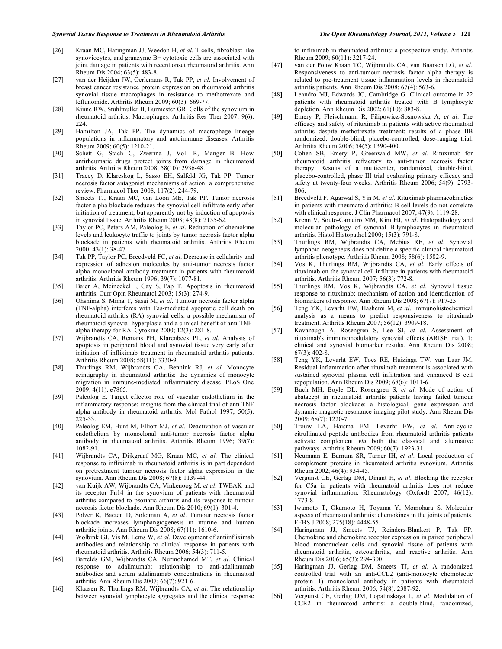- [26] Kraan MC, Haringman JJ, Weedon H, *et al*. T cells, fibroblast-like synoviocytes, and granzyme B+ cytotoxic cells are associated with joint damage in patients with recent onset rheumatoid arthritis. Ann Rheum Dis 2004; 63(5): 483-8.
- [27] van der Heijden JW, Oerlemans R, Tak PP, *et al*. Involvement of breast cancer resistance protein expression on rheumatoid arthritis synovial tissue macrophages in resistance to methotrexate and leflunomide. Arthritis Rheum 2009; 60(3): 669-77.
- [28] Kinne RW, Stuhlmuller B, Burmester GR. Cells of the synovium in rheumatoid arthritis. Macrophages. Arthritis Res Ther 2007; 9(6): 224.
- [29] Hamilton JA, Tak PP. The dynamics of macrophage lineage populations in inflammatory and autoimmune diseases. Arthritis Rheum 2009; 60(5): 1210-21.
- [30] Schett G, Stach C, Zwerina J, Voll R, Manger B. How antirheumatic drugs protect joints from damage in rheumatoid arthritis. Arthritis Rheum 2008; 58(10): 2936-48.
- [31] Tracey D, Klareskog L, Sasso EH, Salfeld JG, Tak PP. Tumor necrosis factor antagonist mechanisms of action: a comprehensive review. Pharmacol Ther 2008; 117(2): 244-79.
- [32] Smeets TJ, Kraan MC, van Loon ME, Tak PP. Tumor necrosis factor alpha blockade reduces the synovial cell infiltrate early after initiation of treatment, but apparently not by induction of apoptosis in synovial tissue. Arthritis Rheum 2003; 48(8): 2155-62.
- [33] Taylor PC, Peters AM, Paleolog E, *et al*. Reduction of chemokine levels and leukocyte traffic to joints by tumor necrosis factor alpha blockade in patients with rheumatoid arthritis. Arthritis Rheum 2000; 43(1): 38-47.
- [34] Tak PP, Taylor PC, Breedveld FC, *et al*. Decrease in cellularity and expression of adhesion molecules by anti-tumor necrosis factor alpha monoclonal antibody treatment in patients with rheumatoid arthritis. Arthritis Rheum 1996; 39(7): 1077-81.
- [35] Baier A, Meineckel I, Gay S, Pap T. Apoptosis in rheumatoid arthritis. Curr Opin Rheumatol 2003; 15(3): 274-9.
- [36] Ohshima S, Mima T, Sasai M, *et al*. Tumour necrosis factor alpha (TNF-alpha) interferes with Fas-mediated apoptotic cell death on rheumatoid arthritis (RA) synovial cells: a possible mechanism of rheumatoid synovial hyperplasia and a clinical benefit of anti-TNFalpha therapy for RA. Cytokine 2000; 12(3): 281-8.
- [37] Wijbrandts CA, Remans PH, Klarenbeek PL, *et al*. Analysis of apoptosis in peripheral blood and synovial tissue very early after initiation of infliximab treatment in rheumatoid arthritis patients. Arthritis Rheum 2008; 58(11): 3330-9.
- [38] Thurlings RM, Wijbrandts CA, Bennink RJ, *et al*. Monocyte scintigraphy in rheumatoid arthritis: the dynamics of monocyte migration in immune-mediated inflammatory disease. PLoS One 2009; 4(11): e7865.
- [39] Paleolog E. Target effector role of vascular endothelium in the inflammatory response: insights from the clinical trial of anti-TNF alpha antibody in rheumatoid arthritis. Mol Pathol 1997; 50(5): 225-33.
- [40] Paleolog EM, Hunt M, Elliott MJ, *et al*. Deactivation of vascular endothelium by monoclonal anti-tumor necrosis factor alpha antibody in rheumatoid arthritis. Arthritis Rheum 1996; 39(7): 1082-91.
- [41] Wijbrandts CA, Dijkgraaf MG, Kraan MC, *et al*. The clinical response to infliximab in rheumatoid arthritis is in part dependent on pretreatment tumour necrosis factor alpha expression in the synovium. Ann Rheum Dis 2008; 67(8): 1139-44.
- [42] van Kuijk AW, Wijbrandts CA, Vinkenoog M, *et al*. TWEAK and its receptor Fn14 in the synovium of patients with rheumatoid arthritis compared to psoriatic arthritis and its response to tumour necrosis factor blockade. Ann Rheum Dis 2010; 69(1): 301-4.
- [43] Polzer K, Baeten D, Soleiman A, *et al*. Tumour necrosis factor blockade increases lymphangiogenesis in murine and human arthritic joints. Ann Rheum Dis 2008; 67(11): 1610-6.
- [44] Wolbink GJ, Vis M, Lems W, *et al*. Development of antiinfliximab antibodies and relationship to clinical response in patients with rheumatoid arthritis. Arthritis Rheum 2006; 54(3): 711-5.
- [45] Bartelds GM, Wijbrandts CA, Nurmohamed MT, *et al*. Clinical response to adalimumab: relationship to anti-adalimumab antibodies and serum adalimumab concentrations in rheumatoid arthritis. Ann Rheum Dis 2007; 66(7): 921-6.
- [46] Klaasen R, Thurlings RM, Wijbrandts CA, *et al*. The relationship between synovial lymphocyte aggregates and the clinical response

to infliximab in rheumatoid arthritis: a prospective study. Arthritis Rheum 2009; 60(11): 3217-24.

- [47] van der Pouw Kraan TC, Wijbrandts CA, van Baarsen LG, *et al*. Responsiveness to anti-tumour necrosis factor alpha therapy is related to pre-treatment tissue inflammation levels in rheumatoid arthritis patients. Ann Rheum Dis 2008; 67(4): 563-6.
- [48] Leandro MJ, Edwards JC, Cambridge G. Clinical outcome in 22 patients with rheumatoid arthritis treated with B lymphocyte depletion. Ann Rheum Dis 2002; 61(10): 883-8.
- [49] Emery P, Fleischmann R, Filipowicz-Sosnowska A, *et al*. The efficacy and safety of rituximab in patients with active rheumatoid arthritis despite methotrexate treatment: results of a phase IIB randomized, double-blind, placebo-controlled, dose-ranging trial. Arthritis Rheum 2006; 54(5): 1390-400.
- [50] Cohen SB, Emery P, Greenwald MW, *et al*. Rituximab for rheumatoid arthritis refractory to anti-tumor necrosis factor therapy: Results of a multicenter, randomized, double-blind, placebo-controlled, phase III trial evaluating primary efficacy and safety at twenty-four weeks. Arthritis Rheum 2006; 54(9): 2793- 806.
- [51] Breedveld F, Agarwal S, Yin M, *et al*. Rituximab pharmacokinetics in patients with rheumatoid arthritis: B-cell levels do not correlate with clinical response. J Clin Pharmacol 2007; 47(9): 1119-28.
- [52] Krenn V, Souto-Carneiro MM, Kim HJ, *et al*. Histopathology and molecular pathology of synovial B-lymphocytes in rheumatoid arthritis. Histol Histopathol 2000; 15(3): 791-8.
- [53] Thurlings RM, Wijbrandts CA, Mebius RE, *et al*. Synovial lymphoid neogenesis does not define a specific clinical rheumatoid arthritis phenotype. Arthritis Rheum 2008; 58(6): 1582-9.
- [54] Vos K, Thurlings RM, Wijbrandts CA, *et al*. Early effects of rituximab on the synovial cell infiltrate in patients with rheumatoid arthritis. Arthritis Rheum 2007; 56(3): 772-8.
- [55] Thurlings RM, Vos K, Wijbrandts CA, *et al*. Synovial tissue response to rituximab: mechanism of action and identification of biomarkers of response. Ann Rheum Dis 2008; 67(7): 917-25.
- [56] Teng YK, Levarht EW, Hashemi M, *et al*. Immunohistochemical analysis as a means to predict responsiveness to rituximab treatment. Arthritis Rheum 2007; 56(12): 3909-18.
- [57] Kavanaugh A, Rosengren S, Lee SJ, *et al*. Assessment of rituximab's immunomodulatory synovial effects (ARISE trial). 1: clinical and synovial biomarker results. Ann Rheum Dis 2008; 67(3): 402-8.
- [58] Teng YK, Levarht EW, Toes RE, Huizinga TW, van Laar JM. Residual inflammation after rituximab treatment is associated with sustained synovial plasma cell infiltration and enhanced B cell repopulation. Ann Rheum Dis 2009; 68(6): 1011-6.
- [59] Buch MH, Boyle DL, Rosengren S, *et al*. Mode of action of abatacept in rheumatoid arthritis patients having failed tumour necrosis factor blockade: a histological, gene expression and dynamic magnetic resonance imaging pilot study. Ann Rheum Dis 2009; 68(7): 1220-7.
- [60] Trouw LA, Haisma EM, Levarht EW, *et al*. Anti-cyclic citrullinated peptide antibodies from rheumatoid arthritis patients activate complement *via* both the classical and alternative pathways. Arthritis Rheum 2009; 60(7): 1923-31.
- [61] Neumann E, Barnum SR, Tarner IH, *et al*. Local production of complement proteins in rheumatoid arthritis synovium. Arthritis Rheum 2002; 46(4): 934-45.
- [62] Vergunst CE, Gerlag DM, Dinant H, *et al*. Blocking the receptor for C5a in patients with rheumatoid arthritis does not reduce synovial inflammation. Rheumatology (Oxford) 2007; 46(12): 1773-8.
- [63] Iwamoto T, Okamoto H, Toyama Y, Momohara S. Molecular aspects of rheumatoid arthritis: chemokines in the joints of patients. FEBS J 2008; 275(18): 4448-55.
- [64] Haringman JJ, Smeets TJ, Reinders-Blankert P, Tak PP. Chemokine and chemokine receptor expression in paired peripheral blood mononuclear cells and synovial tissue of patients with rheumatoid arthritis, osteoarthritis, and reactive arthritis. Ann Rheum Dis 2006; 65(3): 294-300.
- [65] Haringman JJ, Gerlag DM, Smeets TJ, *et al*. A randomized controlled trial with an anti-CCL2 (anti-monocyte chemotactic protein 1) monoclonal antibody in patients with rheumatoid arthritis. Arthritis Rheum 2006; 54(8): 2387-92.
- [66] Vergunst CE, Gerlag DM, Lopatinskaya L, *et al*. Modulation of CCR2 in rheumatoid arthritis: a double-blind, randomized,